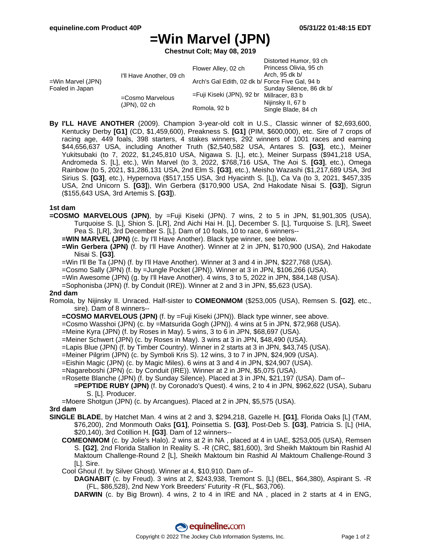# **=Win Marvel (JPN)**

**Chestnut Colt; May 08, 2019**

| =Win Marvel (JPN)<br>Foaled in Japan | I'll Have Another, 09 ch         | Flower Alley, 02 ch                             | Distorted Humor, 93 ch<br>Princess Olivia, 95 ch<br>Arch, 95 dk b/   |
|--------------------------------------|----------------------------------|-------------------------------------------------|----------------------------------------------------------------------|
|                                      |                                  | Arch's Gal Edith, 02 dk b/ Force Five Gal, 94 b |                                                                      |
|                                      | =Cosmo Marvelous<br>(JPN), 02 ch | =Fuji Kiseki (JPN), 92 br Millracer, 83 b       | Sunday Silence, 86 dk b/<br>Nijinsky II, 67 b<br>Single Blade, 84 ch |
|                                      |                                  | Romola, 92 b                                    |                                                                      |

**By I'LL HAVE ANOTHER** (2009). Champion 3-year-old colt in U.S., Classic winner of \$2,693,600, Kentucky Derby **[G1]** (CD, \$1,459,600), Preakness S. **[G1]** (PIM, \$600,000), etc. Sire of 7 crops of racing age, 449 foals, 398 starters, 4 stakes winners, 292 winners of 1001 races and earning \$44,656,637 USA, including Another Truth (\$2,540,582 USA, Antares S. **[G3]**, etc.), Meiner Yukitsubaki (to 7, 2022, \$1,245,810 USA, Nigawa S. [L], etc.), Meiner Surpass (\$941,218 USA, Andromeda S. [L], etc.), Win Marvel (to 3, 2022, \$768,716 USA, The Aoi S. **[G3]**, etc.), Omega Rainbow (to 5, 2021, \$1,286,131 USA, 2nd Elm S. **[G3]**, etc.), Meisho Wazashi (\$1,217,689 USA, 3rd Sirius S. **[G3]**, etc.), Hypernova (\$517,155 USA, 3rd Hyacinth S. [L]), Ca Va (to 3, 2021, \$457,335 USA, 2nd Unicorn S. **[G3]**), Win Gerbera (\$170,900 USA, 2nd Hakodate Nisai S. **[G3]**), Sigrun (\$155,643 USA, 3rd Artemis S. **[G3]**).

## **1st dam**

**=COSMO MARVELOUS (JPN)**, by =Fuji Kiseki (JPN). 7 wins, 2 to 5 in JPN, \$1,901,305 (USA), Turquoise S. [L], Shion S. [LR], 2nd Aichi Hai H. [L], December S. [L], Turquoise S. [LR], Sweet Pea S. [LR], 3rd December S. [L]. Dam of 10 foals, 10 to race, 6 winners--

**=WIN MARVEL (JPN)** (c. by I'll Have Another). Black type winner, see below.

**=Win Gerbera (JPN)** (f. by I'll Have Another). Winner at 2 in JPN, \$170,900 (USA), 2nd Hakodate Nisai S. **[G3]**.

=Win I'll Be Ta (JPN) (f. by I'll Have Another). Winner at 3 and 4 in JPN, \$227,768 (USA).

=Cosmo Sally (JPN) (f. by =Jungle Pocket (JPN)). Winner at 3 in JPN, \$106,266 (USA).

=Win Awesome (JPN) (g. by I'll Have Another). 4 wins, 3 to 5, 2022 in JPN, \$84,148 (USA).

=Sophonisba (JPN) (f. by Conduit (IRE)). Winner at 2 and 3 in JPN, \$5,623 (USA).

## **2nd dam**

Romola, by Nijinsky II. Unraced. Half-sister to **COMEONMOM** (\$253,005 (USA), Remsen S. **[G2]**, etc., sire). Dam of 8 winners--

**=COSMO MARVELOUS (JPN)** (f. by =Fuji Kiseki (JPN)). Black type winner, see above.

=Cosmo Wasshoi (JPN) (c. by =Matsurida Gogh (JPN)). 4 wins at 5 in JPN, \$72,968 (USA).

- =Meine Kyra (JPN) (f. by Roses in May). 5 wins, 3 to 6 in JPN, \$68,697 (USA).
- =Meiner Schwert (JPN) (c. by Roses in May). 3 wins at 3 in JPN, \$48,490 (USA).
- =Lapis Blue (JPN) (f. by Timber Country). Winner in 2 starts at 3 in JPN, \$43,745 (USA).
- =Meiner Pilgrim (JPN) (c. by Symboli Kris S). 12 wins, 3 to 7 in JPN, \$24,909 (USA).

=Eishin Magic (JPN) (c. by Magic Miles). 6 wins at 3 and 4 in JPN, \$24,907 (USA).

=Nagareboshi (JPN) (c. by Conduit (IRE)). Winner at 2 in JPN, \$5,075 (USA).

=Rosette Blanche (JPN) (f. by Sunday Silence). Placed at 3 in JPN, \$21,197 (USA). Dam of--

**=PEPTIDE RUBY (JPN)** (f. by Coronado's Quest). 4 wins, 2 to 4 in JPN, \$962,622 (USA), Subaru S. [L]. Producer.

=Moere Shotgun (JPN) (c. by Arcangues). Placed at 2 in JPN, \$5,575 (USA).

## **3rd dam**

- **SINGLE BLADE**, by Hatchet Man. 4 wins at 2 and 3, \$294,218, Gazelle H. **[G1]**, Florida Oaks [L] (TAM, \$76,200), 2nd Monmouth Oaks **[G1]**, Poinsettia S. **[G3]**, Post-Deb S. **[G3]**, Patricia S. [L] (HIA, \$20,140), 3rd Cotillion H. **[G3]**. Dam of 12 winners--
	- **COMEONMOM** (c. by Jolie's Halo). 2 wins at 2 in NA , placed at 4 in UAE, \$253,005 (USA), Remsen S. **[G2]**, 2nd Florida Stallion In Reality S. -R (CRC, \$81,600), 3rd Sheikh Maktoum bin Rashid Al Maktoum Challenge-Round 2 [L], Sheikh Maktoum bin Rashid Al Maktoum Challenge-Round 3 [L]. Sire.

Cool Ghoul (f. by Silver Ghost). Winner at 4, \$10,910. Dam of--

**DAGNABIT** (c. by Freud). 3 wins at 2, \$243,938, Tremont S. [L] (BEL, \$64,380), Aspirant S. -R (FL, \$86,528), 2nd New York Breeders' Futurity -R (FL, \$63,706).

**DARWIN** (c. by Big Brown). 4 wins, 2 to 4 in IRE and NA , placed in 2 starts at 4 in ENG,